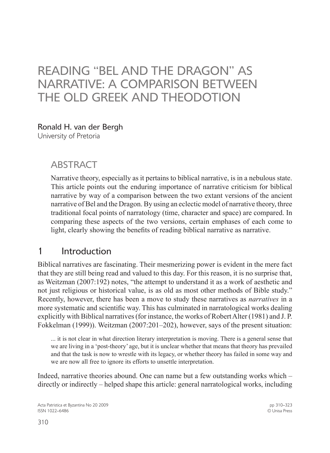# Reading "Bel and the Dragon" as Narrative: A Comparison between the Old Greek and Theodotion

#### Ronald H. van der Bergh

University of Pretoria

### **ABSTRACT**

Narrative theory, especially as it pertains to biblical narrative, is in a nebulous state. This article points out the enduring importance of narrative criticism for biblical narrative by way of a comparison between the two extant versions of the ancient narrative of Bel and the Dragon. By using an eclectic model of narrative theory, three traditional focal points of narratology (time, character and space) are compared. In comparing these aspects of the two versions, certain emphases of each come to light, clearly showing the benefits of reading biblical narrative as narrative.

### 1 Introduction

Biblical narratives are fascinating. Their mesmerizing power is evident in the mere fact that they are still being read and valued to this day. For this reason, it is no surprise that, as Weitzman (2007:192) notes, "the attempt to understand it as a work of aesthetic and not just religious or historical value, is as old as most other methods of Bible study." Recently, however, there has been a move to study these narratives as *narratives* in a more systematic and scientific way. This has culminated in narratological works dealing explicitly with Biblical narratives (for instance, the works of Robert Alter (1981) and J. P. Fokkelman (1999)). Weitzman (2007:201–202), however, says of the present situation:

... it is not clear in what direction literary interpretation is moving. There is a general sense that we are living in a 'post-theory' age, but it is unclear whether that means that theory has prevailed and that the task is now to wrestle with its legacy, or whether theory has failed in some way and we are now all free to ignore its efforts to unsettle interpretation.

Indeed, narrative theories abound. One can name but a few outstanding works which – directly or indirectly – helped shape this article: general narratological works, including

Acta Patristica et Byzantina No 20 2009 ISSN 1022–6486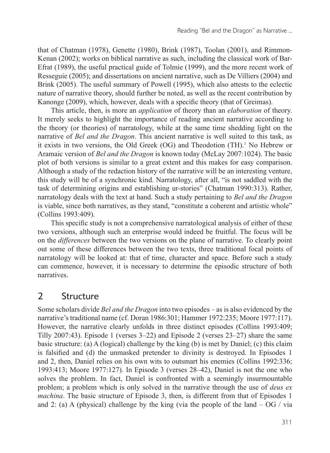that of Chatman (1978), Genette (1980), Brink (1987), Toolan (2001), and Rimmon-Kenan (2002); works on biblical narrative as such, including the classical work of Bar-Efrat (1989), the useful practical guide of Tolmie (1999), and the more recent work of Resseguie (2005); and dissertations on ancient narrative, such as De Villiers (2004) and Brink (2005). The useful summary of Powell (1995), which also attests to the eclectic nature of narrative theory, should further be noted, as well as the recent contribution by Kanonge (2009), which, however, deals with a specific theory (that of Greimas).

This article, then, is more an *application* of theory than an *elaboration* of theory. It merely seeks to highlight the importance of reading ancient narrative according to the theory (or theories) of narratology, while at the same time shedding light on the narrative of *Bel and the Dragon*. This ancient narrative is well suited to this task, as it exists in two versions, the Old Greek  $(OG)$  and Theodotion  $(TH)$ .<sup>1</sup> No Hebrew or Aramaic version of *Bel and the Dragon* is known today (McLay 2007:1024). The basic plot of both versions is similar to a great extent and this makes for easy comparison. Although a study of the redaction history of the narrative will be an interesting venture, this study will be of a synchronic kind. Narratology, after all, "is not saddled with the task of determining origins and establishing ur-stories" (Chatman 1990:313). Rather, narratology deals with the text at hand. Such a study pertaining to *Bel and the Dragon*  is viable, since both narratives, as they stand, "constitute a coherent and artistic whole" (Collins 1993:409).

This specific study is not a comprehensive narratological analysis of either of these two versions, although such an enterprise would indeed be fruitful. The focus will be on the *differences* between the two versions on the plane of narrative. To clearly point out some of these differences between the two texts, three traditional focal points of narratology will be looked at: that of time, character and space. Before such a study can commence, however, it is necessary to determine the episodic structure of both narratives.

## 2 Structure

Some scholars divide *Bel and the Dragon* into two episodes – as is also evidenced by the narrative's traditional name (cf. Doran 1986:301; Hammer 1972:235; Moore 1977:117). However, the narrative clearly unfolds in three distinct episodes (Collins 1993:409; Tilly 2007:43). Episode 1 (verses 3–22) and Episode 2 (verses 23–27) share the same basic structure: (a) A (logical) challenge by the king (b) is met by Daniel; (c) this claim is falsified and (d) the unmasked pretender to divinity is destroyed. In Episodes 1 and 2, then, Daniel relies on his own wits to outsmart his enemies (Collins 1992:336; 1993:413; Moore 1977:127). In Episode 3 (verses 28–42), Daniel is not the one who solves the problem. In fact, Daniel is confronted with a seemingly insurmountable problem; a problem which is only solved in the narrative through the use of *deus ex machina*. The basic structure of Episode 3, then, is different from that of Episodes 1 and 2: (a) A (physical) challenge by the king (via the people of the land  $-$  OG / via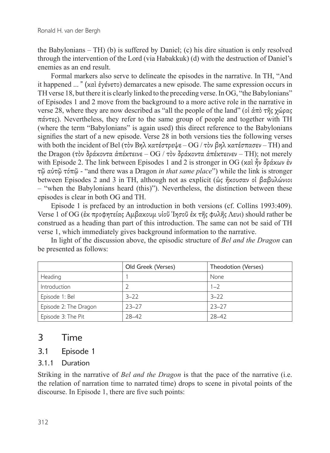the Babylonians – TH) (b) is suffered by Daniel; (c) his dire situation is only resolved through the intervention of the Lord (via Habakkuk) (d) with the destruction of Daniel's enemies as an end result.

Formal markers also serve to delineate the episodes in the narrative. In TH, "And it happened ... " (καὶ ἐγένετο) demarcates a new episode. The same expression occurs in TH verse 18, but there it is clearly linked to the preceding verse. In OG, "the Babylonians" of Episodes 1 and 2 move from the background to a more active role in the narrative in verse 28, where they are now described as "all the people of the land" (οἱ ἀπὸ τῆς χώρας πάντες). Nevertheless, they refer to the same group of people and together with TH (where the term "Babylonians" is again used) this direct reference to the Babylonians signifies the start of a new episode. Verse 28 in both versions ties the following verses with both the incident of Bel (τὸν Βηλ κατέστρεψε – OG / τὸν βηλ κατέσπασεν – TH) and the Dragon (τὸν δράκοντα ἀπέκτεινε – OG / τὸν δράκοντα ἀπέκτεινεν – TH); not merely with Episode 2. The link between Episodes 1 and 2 is stronger in OG (καὶ ἦν δράκων ἐν τῷ αὐτῷ τόπῷ - "and there was a Dragon *in that same place*") while the link is stronger between Episodes 2 and 3 in TH, although not as explicit (ὡς ἤκουσαν οἱ βαβυλώνιοι – "when the Babylonians heard (this)"). Nevertheless, the distinction between these episodes is clear in both OG and TH.

Episode 1 is prefaced by an introduction in both versions (cf. Collins 1993:409). Verse 1 of OG (ἐκ προφητείας Αμβακουμ υἱοῦ Ἰησοῦ ἐκ τῆς φυλῆς Λευι) should rather be construed as a heading than part of this introduction. The same can not be said of TH verse 1, which immediately gives background information to the narrative.

In light of the discussion above, the episodic structure of *Bel and the Dragon* can be presented as follows:

|                       | Old Greek (Verses) | Theodotion (Verses) |
|-----------------------|--------------------|---------------------|
| Heading               |                    | None                |
| Introduction          |                    | $1 - 2$             |
| Episode 1: Bel        | $3 - 22$           | $3 - 22$            |
| Episode 2: The Dragon | $23 - 27$          | $23 - 27$           |
| Episode 3: The Pit    | 28-42              | 28-42               |

### 3 Time

#### 3.1 Episode 1

#### 3.1.1 Duration

Striking in the narrative of *Bel and the Dragon* is that the pace of the narrative (i.e. the relation of narration time to narrated time) drops to scene in pivotal points of the discourse. In Episode 1, there are five such points: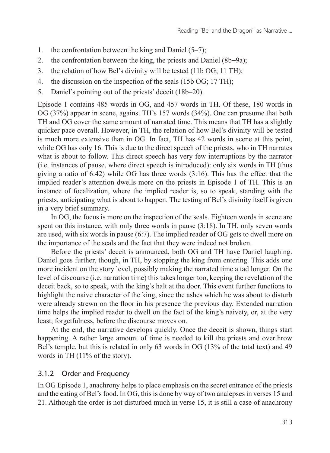- 1. the confrontation between the king and Daniel (5–7);
- 2. the confrontation between the king, the priests and Daniel (8b–9a);
- 3. the relation of how Bel's divinity will be tested (11b OG; 11 TH);
- 4. the discussion on the inspection of the seals (15b OG; 17 TH);
- 5. Daniel's pointing out of the priests' deceit (18b–20).

Episode 1 contains 485 words in OG, and 457 words in TH. Of these, 180 words in OG (37%) appear in scene, against TH's 157 words (34%). One can presume that both TH and OG cover the same amount of narrated time. This means that TH has a slightly quicker pace overall. However, in TH, the relation of how Bel's divinity will be tested is much more extensive than in OG. In fact, TH has 42 words in scene at this point, while OG has only 16. This is due to the direct speech of the priests, who in TH narrates what is about to follow. This direct speech has very few interruptions by the narrator (i.e. instances of pause, where direct speech is introduced): only six words in TH (thus giving a ratio of 6:42) while OG has three words (3:16). This has the effect that the implied reader's attention dwells more on the priests in Episode 1 of TH. This is an instance of focalization, where the implied reader is, so to speak, standing with the priests, anticipating what is about to happen. The testing of Bel's divinity itself is given in a very brief summary.

In OG, the focus is more on the inspection of the seals. Eighteen words in scene are spent on this instance, with only three words in pause (3:18). In TH, only seven words are used, with six words in pause (6:7). The implied reader of OG gets to dwell more on the importance of the seals and the fact that they were indeed not broken.

Before the priests' deceit is announced, both OG and TH have Daniel laughing. Daniel goes further, though, in TH, by stopping the king from entering. This adds one more incident on the story level, possibly making the narrated time a tad longer. On the level of discourse (i.e. narration time) this takes longer too, keeping the revelation of the deceit back, so to speak, with the king's halt at the door. This event further functions to highlight the naive character of the king, since the ashes which he was about to disturb were already strewn on the floor in his presence the previous day. Extended narration time helps the implied reader to dwell on the fact of the king's naivety, or, at the very least, forgetfulness, before the discourse moves on.

At the end, the narrative develops quickly. Once the deceit is shown, things start happening. A rather large amount of time is needed to kill the priests and overthrow Bel's temple, but this is related in only 63 words in OG (13% of the total text) and 49 words in TH (11% of the story).

#### 3.1.2 Order and Frequency

In OG Episode 1, anachrony helps to place emphasis on the secret entrance of the priests and the eating of Bel's food. In OG, this is done by way of two analepses in verses 15 and 21. Although the order is not disturbed much in verse 15, it is still a case of anachrony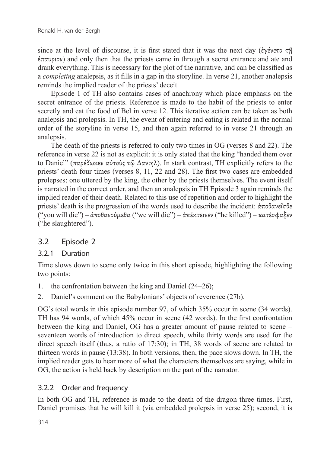since at the level of discourse, it is first stated that it was the next day (ἐγένετο τῆ ἐπαυριον) and only then that the priests came in through a secret entrance and ate and drank everything. This is necessary for the plot of the narrative, and can be classified as a *completing* analepsis, as it fills in a gap in the storyline. In verse 21, another analepsis reminds the implied reader of the priests' deceit.

Episode 1 of TH also contains cases of anachrony which place emphasis on the secret entrance of the priests. Reference is made to the habit of the priests to enter secretly and eat the food of Bel in verse 12. This iterative action can be taken as both analepsis and prolepsis. In TH, the event of entering and eating is related in the normal order of the storyline in verse 15, and then again referred to in verse 21 through an analepsis.

The death of the priests is referred to only two times in OG (verses 8 and 22). The reference in verse 22 is not as explicit: it is only stated that the king "handed them over to Daniel" (παρέδωκεν αὐτοὺς τῷ Δανιηλ). In stark contrast, TH explicitly refers to the priests' death four times (verses 8, 11, 22 and 28). The first two cases are embedded prolepses; one uttered by the king, the other by the priests themselves. The event itself is narrated in the correct order, and then an analepsis in TH Episode 3 again reminds the implied reader of their death. Related to this use of repetition and order to highlight the priests' death is the progression of the words used to describe the incident: ἀποθανεῖσθε ("you will die") – ἀποθανούμεθα ("we will die") – ἀπέκτεινεν ("he killed") – κατέσφαξεν ("he slaughtered").

#### 3.2 Episode 2

#### 3.2.1 Duration

Time slows down to scene only twice in this short episode, highlighting the following two points:

- 1. the confrontation between the king and Daniel (24–26);
- 2. Daniel's comment on the Babylonians' objects of reverence (27b).

OG's total words in this episode number 97, of which 35% occur in scene (34 words). TH has 94 words, of which 45% occur in scene (42 words). In the first confrontation between the king and Daniel, OG has a greater amount of pause related to scene – seventeen words of introduction to direct speech, while thirty words are used for the direct speech itself (thus, a ratio of 17:30); in TH, 38 words of scene are related to thirteen words in pause (13:38). In both versions, then, the pace slows down. In TH, the implied reader gets to hear more of what the characters themselves are saying, while in OG, the action is held back by description on the part of the narrator.

#### 3.2.2 Order and frequency

In both OG and TH, reference is made to the death of the dragon three times. First, Daniel promises that he will kill it (via embedded prolepsis in verse 25); second, it is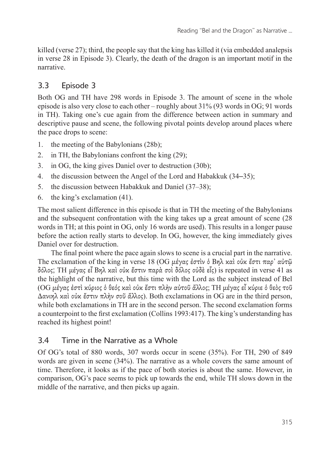killed (verse 27); third, the people say that the king has killed it (via embedded analepsis in verse 28 in Episode 3). Clearly, the death of the dragon is an important motif in the narrative.

### 3.3 Episode 3

Both OG and TH have 298 words in Episode 3. The amount of scene in the whole episode is also very close to each other – roughly about 31% (93 words in OG; 91 words in TH). Taking one's cue again from the difference between action in summary and descriptive pause and scene, the following pivotal points develop around places where the pace drops to scene:

- 1. the meeting of the Babylonians (28b);
- 2. in TH, the Babylonians confront the king (29);
- 3. in OG, the king gives Daniel over to destruction (30b);
- 4. the discussion between the Angel of the Lord and Habakkuk (34–35);
- 5. the discussion between Habakkuk and Daniel (37–38);
- 6. the king's exclamation (41).

The most salient difference in this episode is that in TH the meeting of the Babylonians and the subsequent confrontation with the king takes up a great amount of scene (28 words in TH; at this point in OG, only 16 words are used). This results in a longer pause before the action really starts to develop. In OG, however, the king immediately gives Daniel over for destruction.

The final point where the pace again slows to scene is a crucial part in the narrative. The exclamation of the king in verse 18 (OG μέγας ἐστὶν ὁ Βηλ καὶ οὐκ ἔστι παρ᾽ αὐτῷ δόλος; TH μέγας εἶ Βηλ καὶ οὐκ ἔστιν παρὰ σοὶ δόλος οὐδὲ εἷς) is repeated in verse 41 as the highlight of the narrative, but this time with the Lord as the subject instead of Bel (OG μέγας ἐστὶ κύριος ὁ θεός καὶ οὐκ ἔστι πλὴν αὐτοῦ ἄλλος; TH μέγας εἶ κύριε ὁ θεὸς τοῦ Δανιηλ καὶ οὐκ ἔστιν πλὴν σοῦ ἄλλος). Both exclamations in OG are in the third person, while both exclamations in TH are in the second person. The second exclamation forms a counterpoint to the first exclamation (Collins 1993:417). The king's understanding has reached its highest point!

#### 3.4 Time in the Narrative as a Whole

Of OG's total of 880 words, 307 words occur in scene (35%). For TH, 290 of 849 words are given in scene (34%). The narrative as a whole covers the same amount of time. Therefore, it looks as if the pace of both stories is about the same. However, in comparison, OG's pace seems to pick up towards the end, while TH slows down in the middle of the narrative, and then picks up again.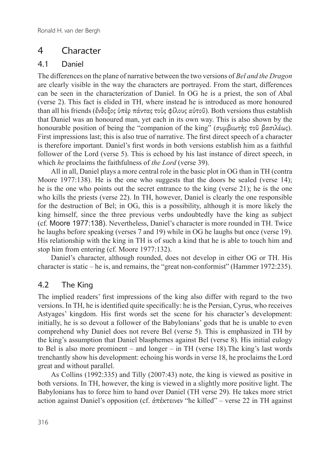## 4 Character

#### 4.1 Daniel

The differences on the plane of narrative between the two versions of *Bel and the Dragon* are clearly visible in the way the characters are portrayed. From the start, differences can be seen in the characterization of Daniel. In OG he is a priest, the son of Abal (verse 2). This fact is elided in TH, where instead he is introduced as more honoured than all his friends (ἔνδοξος ὑπὲρ πάντας τοὺς φίλους αὐτοῦ). Both versions thus establish that Daniel was an honoured man, yet each in its own way. This is also shown by the honourable position of being the "companion of the king" (συμβιωτής τοῦ βασιλέως). First impressions last; this is also true of narrative. The first direct speech of a character is therefore important. Daniel's first words in both versions establish him as a faithful follower of the Lord (verse 5). This is echoed by his last instance of direct speech, in which *he* proclaims the faithfulness of *the Lord* (verse 39).

All in all, Daniel plays a more central role in the basic plot in OG than in TH (contra Moore 1977:138). He is the one who suggests that the doors be sealed (verse 14): he is the one who points out the secret entrance to the king (verse 21); he is the one who kills the priests (verse 22). In TH, however, Daniel is clearly the one responsible for the destruction of Bel; in OG, this is a possibility, although it is more likely the king himself, since the three previous verbs undoubtedly have the king as subject (cf. Moore 1977:138). Nevertheless, Daniel's character is more rounded in TH. Twice he laughs before speaking (verses 7 and 19) while in OG he laughs but once (verse 19). His relationship with the king in TH is of such a kind that he is able to touch him and stop him from entering (cf. Moore 1977:132).

Daniel's character, although rounded, does not develop in either OG or TH. His character is static – he is, and remains, the "great non-conformist" (Hammer 1972:235).

#### 4.2 The King

The implied readers' first impressions of the king also differ with regard to the two versions. In TH, he is identified quite specifically: he is the Persian, Cyrus, who receives Astyages' kingdom. His first words set the scene for his character's development: initially, he is so devout a follower of the Babylonians' gods that he is unable to even comprehend why Daniel does not revere Bel (verse 5). This is emphasized in TH by the king's assumption that Daniel blasphemes against Bel (verse 8). His initial eulogy to Bel is also more prominent – and longer – in TH (verse 18).The king's last words trenchantly show his development: echoing his words in verse 18, he proclaims the Lord great and without parallel.

As Collins (1992:335) and Tilly (2007:43) note, the king is viewed as positive in both versions. In TH, however, the king is viewed in a slightly more positive light. The Babylonians has to force him to hand over Daniel (TH verse 29). He takes more strict action against Daniel's opposition (cf. ἀπέκτεινεν "he killed" – verse 22 in TH against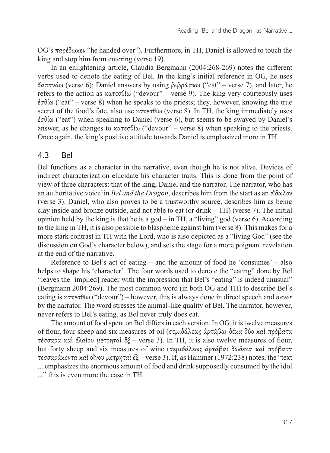OG's παρέδωκεν "he handed over"). Furthermore, in TH, Daniel is allowed to touch the king and stop him from entering (verse 19).

In an enlightening article, Claudia Bergmann (2004:268-269) notes the different verbs used to denote the eating of Bel. In the king's initial reference in OG, he uses δαπανάω (verse 6); Daniel answers by using βιβρώσκω ("eat" – verse 7), and later, he refers to the action as κατεσθίω ("devour" – verse 9). The king very courteously uses ἐσθίω ("eat" – verse 8) when he speaks to the priests; they, however, knowing the true secret of the food's fate, also use  $\kappa \alpha \tau \epsilon \sigma \theta$  (verse 8). In TH, the king immediately uses ἐσθίω ("eat") when speaking to Daniel (verse 6), but seems to be swayed by Daniel's answer, as he changes to κατεσθίω ("devour" – verse 8) when speaking to the priests. Once again, the king's positive attitude towards Daniel is emphasized more in TH.

#### 4.3 Bel

Bel functions as a character in the narrative, even though he is not alive. Devices of indirect characterization elucidate his character traits. This is done from the point of view of three characters: that of the king, Daniel and the narrator. The narrator, who has an authoritative voice2 in *Bel and the Dragon*, describes him from the start as an εἴδωλον (verse 3). Daniel, who also proves to be a trustworthy source, describes him as being clay inside and bronze outside, and not able to eat (or drink – TH) (verse 7). The initial opinion held by the king is that he is a god – in TH, a "living" god (verse 6). According to the king in TH, it is also possible to blaspheme against him (verse 8). This makes for a more stark contrast in TH with the Lord, who is also depicted as a "living God" (see the discussion on God's character below), and sets the stage for a more poignant revelation at the end of the narrative.

Reference to Bel's act of eating – and the amount of food he 'consumes' – also helps to shape his 'character'. The four words used to denote the "eating" done by Bel "leaves the [implied] reader with the impression that Bel's "eating" is indeed unusual" (Bergmann 2004:269). The most common word (in both OG and TH) to describe Bel's eating is κατεσθίω ("devour") – however, this is always done in direct speech and *never* by the narrator. The word stresses the animal-like quality of Bel. The narrator, however, never refers to Bel's eating, as Bel never truly does eat.

The amount of food spent on Bel differs in each version. In OG, it is twelve measures of flour, four sheep and six measures of oil (σεμιδάλεως ἀρτάβαι δέκα δύο καὶ πρόβατα τέσσαρα καὶ ἐλαίου μετρηταὶ ἕξ – verse 3). In TH, it is also twelve measures of flour, but forty sheep and six measures of wine (σεμιδάλεως ἀρτάβαι δώδεκα καὶ πρόβατα τεσσαράκοντα καὶ οἴνου μετρηταὶ ἕξ – verse 3). If, as Hammer (1972:238) notes, the "text ... emphasizes the enormous amount of food and drink supposedly consumed by the idol ..." this is even more the case in TH.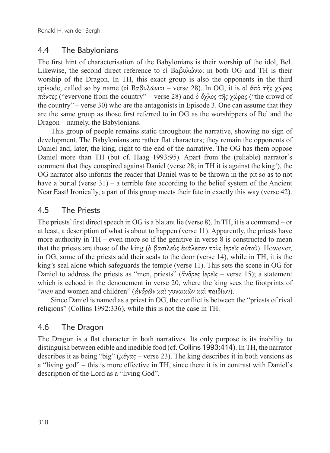### 4.4 The Babylonians

The first hint of characterisation of the Babylonians is their worship of the idol, Bel. Likewise, the second direct reference to οἱ Βαβυλώνιοι in both OG and TH is their worship of the Dragon. In TH, this exact group is also the opponents in the third episode, called so by name (οἱ Βαβυλώνιοι – verse 28). In OG, it is οἱ ἀπὸ τῆς χώρας πάντες ("everyone from the country" – verse 28) and ὁ ὄχλος τῆς χώρας ("the crowd of the country" – verse 30) who are the antagonists in Episode 3. One can assume that they are the same group as those first referred to in OG as the worshippers of Bel and the Dragon – namely, the Babylonians.

This group of people remains static throughout the narrative, showing no sign of development. The Babylonians are rather flat characters; they remain the opponents of Daniel and, later, the king, right to the end of the narrative. The OG has them oppose Daniel more than TH (but cf. Haag 1993:95). Apart from the (reliable) narrator's comment that they conspired against Daniel (verse 28; in TH it is against the king!), the OG narrator also informs the reader that Daniel was to be thrown in the pit so as to not have a burial (verse  $31$ ) – a terrible fate according to the belief system of the Ancient Near East! Ironically, a part of this group meets their fate in exactly this way (verse 42).

### 4.5 The Priests

The priests' first direct speech in OG is a blatant lie (verse 8). In TH, it is a command – or at least, a description of what is about to happen (verse 11). Apparently, the priests have more authority in TH – even more so if the genitive in verse 8 is constructed to mean that the priests are those of the king (ὁ βασιλεὺς ἐκάλεσεν τοὺς ἱερεῖς αὐτοῦ). However, in OG, some of the priests add their seals to the door (verse 14), while in TH, it is the king's seal alone which safeguards the temple (verse 11). This sets the scene in OG for Daniel to address the priests as "men, priests" (ἄνδρες ἱερεῖς – verse 15); a statement which is echoed in the denouement in verse 20, where the king sees the footprints of "*men* and women and children" (ἀνδρῶν καὶ γυναικῶν καὶ παιδίων).

Since Daniel is named as a priest in OG, the conflict is between the "priests of rival religions" (Collins 1992:336), while this is not the case in TH.

### 4.6 The Dragon

The Dragon is a flat character in both narratives. Its only purpose is its inability to distinguish between edible and inedible food (cf. Collins 1993:414). In TH, the narrator describes it as being "big" ( $\mu \neq \gamma \alpha \varsigma$  – verse 23). The king describes it in both versions as a "living god" – this is more effective in TH, since there it is in contrast with Daniel's description of the Lord as a "living God".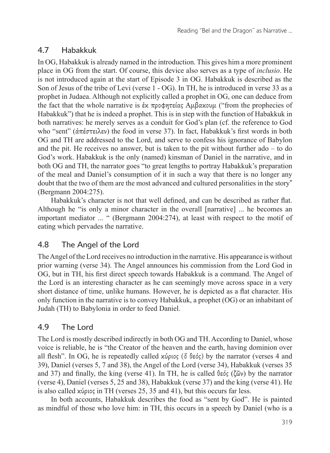### 4.7 Habakkuk

In OG, Habakkuk is already named in the introduction. This gives him a more prominent place in OG from the start. Of course, this device also serves as a type of *inclusio*. He is not introduced again at the start of Episode 3 in OG. Habakkuk is described as the Son of Jesus of the tribe of Levi (verse 1 - OG). In TH, he is introduced in verse 33 as a prophet in Judaea. Although not explicitly called a prophet in OG, one can deduce from the fact that the whole narrative is ἐκ προφητείας Αμβακουμ ("from the prophecies of Habakkuk") that he is indeed a prophet. This is in step with the function of Habakkuk in both narratives: he merely serves as a conduit for God's plan (cf. the reference to God who "sent" (ἀπέστειλεν) the food in verse 37). In fact, Habakkuk's first words in both OG and TH are addressed to the Lord, and serve to confess his ignorance of Babylon and the pit. He receives no answer, but is taken to the pit without further ado – to do God's work. Habakkuk is the only (named) kinsman of Daniel in the narrative, and in both OG and TH, the narrator goes "to great lengths to portray Habakkuk's preparation of the meal and Daniel's consumption of it in such a way that there is no longer any doubt that the two of them are the most advanced and cultured personalities in the story" (Bergmann 2004:275).

Habakkuk's character is not that well defined, and can be described as rather flat. Although he "is only a minor character in the overall [narrative] ... he becomes an important mediator ... " (Bergmann 2004:274), at least with respect to the motif of eating which pervades the narrative.

### 4.8 The Angel of the Lord

The Angel of the Lord receives no introduction in the narrative. His appearance is without prior warning (verse 34). The Angel announces his commission from the Lord God in OG, but in TH, his first direct speech towards Habakkuk is a command. The Angel of the Lord is an interesting character as he can seemingly move across space in a very short distance of time, unlike humans. However, he is depicted as a flat character. His only function in the narrative is to convey Habakkuk, a prophet (OG) or an inhabitant of Judah (TH) to Babylonia in order to feed Daniel.

### 4.9 The Lord

The Lord is mostly described indirectly in both OG and TH. According to Daniel, whose voice is reliable, he is "the Creator of the heaven and the earth, having dominion over all flesh". In OG, he is repeatedly called κύριος (δ θεός) by the narrator (verses 4 and 39), Daniel (verses 5, 7 and 38), the Angel of the Lord (verse 34), Habakkuk (verses 35 and 37) and finally, the king (verse 41). In TH, he is called θεός (ζῶν) by the narrator (verse 4), Daniel (verses 5, 25 and 38), Habakkuk (verse 37) and the king (verse 41). He is also called κύριος in TH (verses 25, 35 and 41), but this occurs far less.

In both accounts, Habakkuk describes the food as "sent by God". He is painted as mindful of those who love him: in TH, this occurs in a speech by Daniel (who is a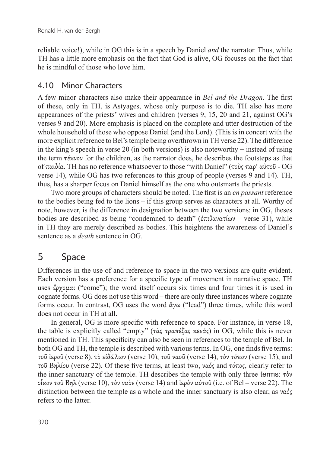reliable voice!), while in OG this is in a speech by Daniel *and* the narrator. Thus, while TH has a little more emphasis on the fact that God is alive, OG focuses on the fact that he is mindful of those who love him.

#### 4.10 Minor Characters

A few minor characters also make their appearance in *Bel and the Dragon*. The first of these, only in TH, is Astyages, whose only purpose is to die. TH also has more appearances of the priests' wives and children (verses 9, 15, 20 and 21, against OG's verses 9 and 20). More emphasis is placed on the complete and utter destruction of the whole household of those who oppose Daniel (and the Lord). (This is in concert with the more explicit reference to Bel's temple being overthrown in TH verse 22). The difference in the king's speech in verse 20 (in both versions) is also noteworthy – instead of using the term τέκνον for the children, as the narrator does, he describes the footsteps as that of παιδία. TH has no reference whatsoever to those "with Daniel" (τοὺς παρ' αὐτοῦ - OG verse 14), while OG has two references to this group of people (verses 9 and 14). TH, thus, has a sharper focus on Daniel himself as the one who outsmarts the priests.

Two more groups of characters should be noted. The first is an *en passant* reference to the bodies being fed to the lions – if this group serves as characters at all. Worthy of note, however, is the difference in designation between the two versions: in OG, theses bodies are described as being "condemned to death" (ἐπιθανατίων – verse 31), while in TH they are merely described as bodies. This heightens the awareness of Daniel's sentence as a *death* sentence in OG.

## 5 Space

Differences in the use of and reference to space in the two versions are quite evident. Each version has a preference for a specific type of movement in narrative space. TH uses ἔρχομαι ("come"); the word itself occurs six times and four times it is used in cognate forms. OG does not use this word – there are only three instances where cognate forms occur. In contrast, OG uses the word  $\ddot{\alpha}\gamma\omega$  ("lead") three times, while this word does not occur in TH at all.

In general, OG is more specific with reference to space. For instance, in verse 18, the table is explicitly called "empty" (τὰς τραπέζας κενάς) in OG, while this is never mentioned in TH. This specificity can also be seen in references to the temple of Bel. In both OG and TH, the temple is described with various terms. In OG, one finds five terms: τοῦ ἱεροῦ (verse 8), τὸ εἰδώλιον (verse 10), τοῦ ναοῦ (verse 14), τὸν τόπον (verse 15), and τοῦ Βηλίου (verse 22). Of these five terms, at least two, ναός and τόπος, clearly refer to the inner sanctuary of the temple. TH describes the temple with only three terms: τὸν οἶκον τοῦ Βηλ (verse 10), τὸν ναὸν (verse 14) and ἱερὸν αὐτοῦ (i.e. of Bel – verse 22). The distinction between the temple as a whole and the inner sanctuary is also clear, as ναός refers to the latter.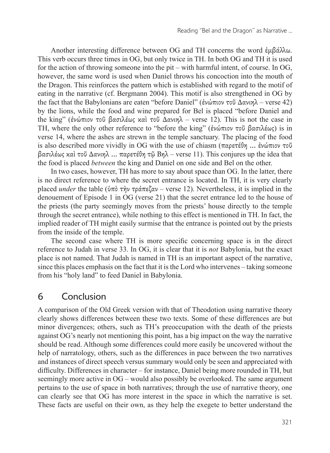Another interesting difference between OG and TH concerns the word  $\dot{\epsilon} \mu \beta \dot{\alpha} \lambda \lambda \omega$ . This verb occurs three times in OG, but only twice in TH. In both OG and TH it is used for the action of throwing someone into the pit – with harmful intent, of course. In OG, however, the same word is used when Daniel throws his concoction into the mouth of the Dragon. This reinforces the pattern which is established with regard to the motif of eating in the narrative (cf. Bergmann 2004). This motif is also strengthened in OG by the fact that the Babylonians are eaten "before Daniel" (ἐνώπιον τοῦ Δανιηλ – verse 42) by the lions, while the food and wine prepared for Bel is placed "before Daniel and the king" (ἐνώπιον τοῦ βασιλέως καὶ τοῦ Δανιηλ – verse 12). This is not the case in TH, where the only other reference to "before the king" (ἐνώπιον τοῦ βασιλέως) is in verse 14, where the ashes are strewn in the temple sanctuary. The placing of the food is also described more vividly in OG with the use of chiasm (παρετέθη ... ἐνώπιον τοῦ βασιλέως καὶ τοῦ Δανιηλ ... παρετέθη τῷ Βηλ – verse 11). This conjures up the idea that the food is placed *between* the king and Daniel on one side and Bel on the other.

In two cases, however, TH has more to say about space than OG. In the latter, there is no direct reference to where the secret entrance is located. In TH, it is very clearly placed *under* the table (ὑπὸ τὴν τράπεζαν – verse 12). Nevertheless, it is implied in the denouement of Episode 1 in OG (verse 21) that the secret entrance led to the house of the priests (the party seemingly moves from the priests' house directly to the temple through the secret entrance), while nothing to this effect is mentioned in TH. In fact, the implied reader of TH might easily surmise that the entrance is pointed out by the priests from the inside of the temple.

The second case where TH is more specific concerning space is in the direct reference to Judah in verse 33. In OG, it is clear that it is *not* Babylonia, but the exact place is not named. That Judah is named in TH is an important aspect of the narrative, since this places emphasis on the fact that it is the Lord who intervenes – taking someone from his "holy land" to feed Daniel in Babylonia.

### 6 Conclusion

A comparison of the Old Greek version with that of Theodotion using narrative theory clearly shows differences between these two texts. Some of these differences are but minor divergences; others, such as TH's preoccupation with the death of the priests against OG's nearly not mentioning this point, has a big impact on the way the narrative should be read. Although some differences could more easily be uncovered without the help of narratology, others, such as the differences in pace between the two narratives and instances of direct speech versus summary would only be seen and appreciated with difficulty. Differences in character – for instance, Daniel being more rounded in TH, but seemingly more active in OG – would also possibly be overlooked. The same argument pertains to the use of space in both narratives; through the use of narrative theory, one can clearly see that OG has more interest in the space in which the narrative is set. These facts are useful on their own, as they help the exegete to better understand the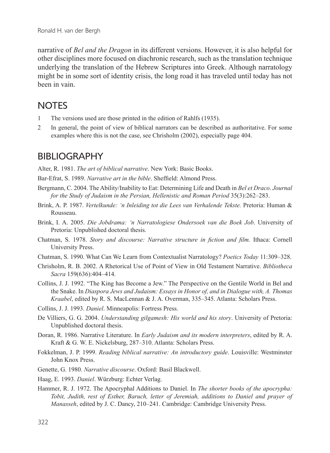narrative of *Bel and the Dragon* in its different versions. However, it is also helpful for other disciplines more focused on diachronic research, such as the translation technique underlying the translation of the Hebrew Scriptures into Greek. Although narratology might be in some sort of identity crisis, the long road it has traveled until today has not been in vain.

## **NOTES**

- 1 The versions used are those printed in the edition of Rahlfs (1935).
- 2 In general, the point of view of biblical narrators can be described as authoritative. For some examples where this is not the case, see Chrisholm (2002), especially page 404.

### BIBLIOGRAPHY

Alter, R. 1981. *The art of biblical narrative*. New York: Basic Books.

Bar-Efrat, S. 1989. *Narrative art in the bible*. Sheffield: Almond Press.

- Bergmann, C. 2004. The Ability/Inability to Eat: Determining Life and Death in *Bel et Draco*. *Journal for the Study of Judaism in the Persian, Hellenistic and Roman Period* 35(3):262–283.
- Brink, A. P. 1987. *Vertelkunde: 'n Inleiding tot die Lees van Verhalende Tekste.* Pretoria: Human & Rousseau.
- Brink, I. A. 2005. *Die Jobdrama: 'n Narratologiese Ondersoek van die Boek Job*. University of Pretoria: Unpublished doctoral thesis.
- Chatman, S. 1978. *Story and discourse: Narrative structure in fiction and film.* Ithaca: Cornell University Press.
- Chatman, S. 1990. What Can We Learn from Contextualist Narratology? *Poetics Today* 11:309–328.
- Chrisholm, R. B. 2002. A Rhetorical Use of Point of View in Old Testament Narrative. *Bibliotheca Sacra* 159(636):404–414.
- Collins, J. J. 1992. "The King has Become a Jew." The Perspective on the Gentile World in Bel and the Snake. In *Diaspora Jews and Judaism: Essays in Honor of, and in Dialogue with, A. Thomas Kraabel*, edited by R. S. MacLennan & J. A. Overman, 335–345. Atlanta: Scholars Press.
- Collins, J. J. 1993. *Daniel*. Minneapolis: Fortress Press.
- De Villiers, G. G. 2004. *Understanding gilgamesh: His world and his story*. University of Pretoria: Unpublished doctoral thesis.
- Doran, R. 1986. Narrative Literature. In *Early Judaism and its modern interpreters*, edited by R. A. Kraft & G. W. E. Nickelsburg, 287–310. Atlanta: Scholars Press.
- Fokkelman, J. P. 1999. *Reading biblical narrative: An introductory guide*. Louisville: Westminster John Knox Press.
- Genette, G. 1980. *Narrative discourse*. Oxford: Basil Blackwell.
- Haag, E. 1993. *Daniel*. Würzburg: Echter Verlag.
- Hammer, R. J. 1972. The Apocryphal Additions to Daniel. In *The shorter books of the apocrypha: Tobit, Judith, rest of Esther, Baruch, letter of Jeremiah, additions to Daniel and prayer of Manasseh*, edited by J. C. Dancy, 210–241. Cambridge: Cambridge University Press.